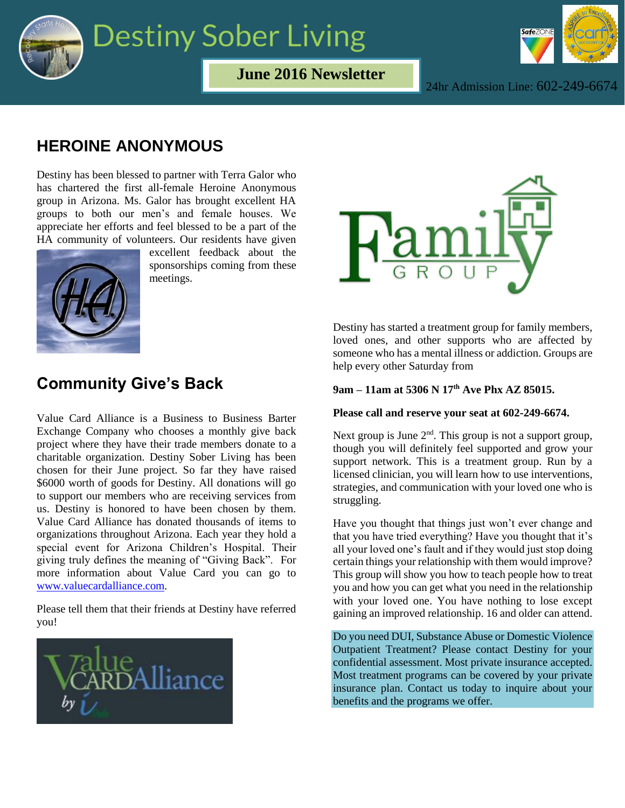

## **Destiny Sober Living**



**June 2016 Newsletter**

24hr Admission Line: 602-249-6674

## **HEROINE ANONYMOUS**

Destiny has been blessed to partner with Terra Galor who has chartered the first all-female Heroine Anonymous group in Arizona. Ms. Galor has brought excellent HA groups to both our men's and female houses. We appreciate her efforts and feel blessed to be a part of the HA community of volunteers. Our residents have given



excellent feedback about the sponsorships coming from these meetings.

### **Community Give's Back**

Value Card Alliance is a Business to Business Barter Exchange Company who chooses a monthly give back project where they have their trade members donate to a charitable organization. Destiny Sober Living has been chosen for their June project. So far they have raised \$6000 worth of goods for Destiny. All donations will go to support our members who are receiving services from us. Destiny is honored to have been chosen by them. Value Card Alliance has donated thousands of items to organizations throughout Arizona. Each year they hold a special event for Arizona Children's Hospital. Their giving truly defines the meaning of "Giving Back". For more information about Value Card you can go to [www.valuecardalliance.com.](http://www.valuecar/#dalliance.com)

Please tell them that their friends at Destiny have referred you!





Destiny has started a treatment group for family members, loved ones, and other supports who are affected by someone who has a mental illness or addiction. Groups are help every other Saturday from

### **9am – 11am at 5306 N 17th Ave Phx AZ 85015.**

#### **Please call and reserve your seat at 602-249-6674.**

Next group is June  $2<sup>nd</sup>$ . This group is not a support group, though you will definitely feel supported and grow your support network. This is a treatment group. Run by a licensed clinician, you will learn how to use interventions, strategies, and communication with your loved one who is struggling.

Have you thought that things just won't ever change and that you have tried everything? Have you thought that it's all your loved one's fault and if they would just stop doing certain things your relationship with them would improve? This group will show you how to teach people how to treat you and how you can get what you need in the relationship with your loved one. You have nothing to lose except gaining an improved relationship. 16 and older can attend.

Do you need DUI, Substance Abuse or Domestic Violence Outpatient Treatment? Please contact Destiny for your confidential assessment. Most private insurance accepted. Most treatment programs can be covered by your private insurance plan. Contact us today to inquire about your benefits and the programs we offer.